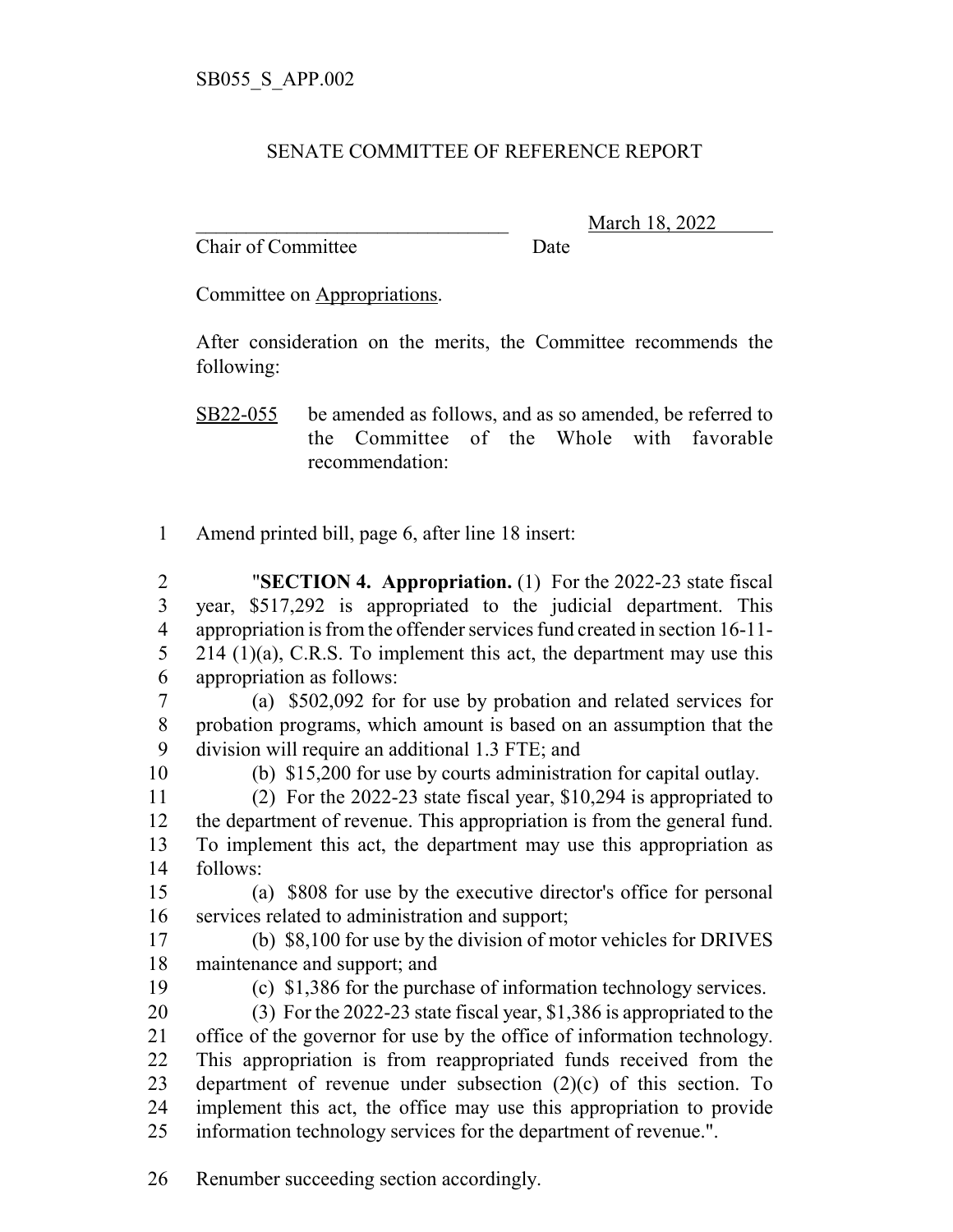## SENATE COMMITTEE OF REFERENCE REPORT

Chair of Committee Date

\_\_\_\_\_\_\_\_\_\_\_\_\_\_\_\_\_\_\_\_\_\_\_\_\_\_\_\_\_\_\_ March 18, 2022

Committee on Appropriations.

After consideration on the merits, the Committee recommends the following:

SB22-055 be amended as follows, and as so amended, be referred to the Committee of the Whole with favorable recommendation:

Amend printed bill, page 6, after line 18 insert:

 "**SECTION 4. Appropriation.** (1) For the 2022-23 state fiscal year, \$517,292 is appropriated to the judicial department. This appropriation is from the offender services fund created in section 16-11- 5 214 (1)(a), C.R.S. To implement this act, the department may use this appropriation as follows:

 (a) \$502,092 for for use by probation and related services for probation programs, which amount is based on an assumption that the division will require an additional 1.3 FTE; and

(b) \$15,200 for use by courts administration for capital outlay.

 (2) For the 2022-23 state fiscal year, \$10,294 is appropriated to the department of revenue. This appropriation is from the general fund. To implement this act, the department may use this appropriation as follows:

 (a) \$808 for use by the executive director's office for personal services related to administration and support;

 (b) \$8,100 for use by the division of motor vehicles for DRIVES maintenance and support; and

(c) \$1,386 for the purchase of information technology services.

 (3) For the 2022-23 state fiscal year, \$1,386 is appropriated to the office of the governor for use by the office of information technology. This appropriation is from reappropriated funds received from the department of revenue under subsection (2)(c) of this section. To implement this act, the office may use this appropriation to provide information technology services for the department of revenue.".

Renumber succeeding section accordingly.